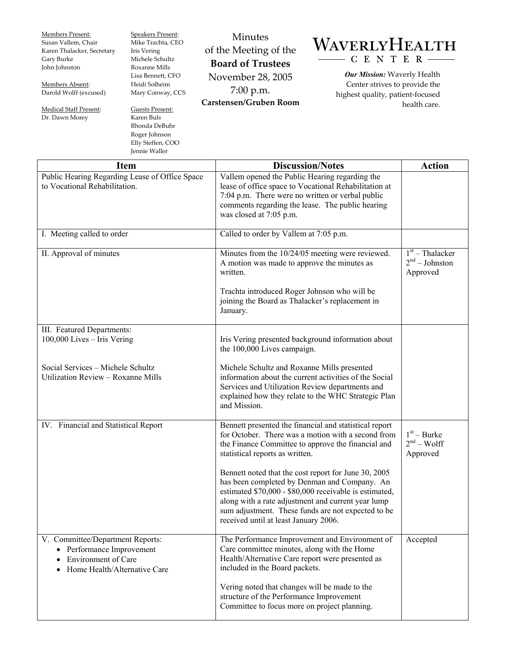| Members Present:           | <b>Speakers Present:</b> | Minutes                  |                                    |
|----------------------------|--------------------------|--------------------------|------------------------------------|
| Susan Vallem, Chair        | Mike Trachta, CEO        |                          | WAVERLYHEALTH                      |
| Karen Thalacker, Secretary | Iris Vering              | of the Meeting of the    |                                    |
| Gary Burke                 | Michele Schultz          | <b>Board of Trustees</b> | $C E N T E R$ ---                  |
| John Johnston              | Roxanne Mills            |                          |                                    |
|                            | Lisa Bennett, CFO        | November 28, 2005        | <b>Our Mission:</b> Waverly Health |
| Members Absent:            | Heidi Solheim            |                          | Center strives to provide the      |
| Darold Wolff (excused)     | Mary Conway, CCS         | $7:00$ p.m.              | highest quality, patient-focused   |
|                            |                          | Carstensen/Gruben Room   | health care.                       |
| Medical Staff Present:     | Guests Present:          |                          |                                    |
| Dr. Dawn Morey             | Karen Buls               |                          |                                    |
|                            | Rhonda DeBuhr            |                          |                                    |
|                            | Roger Johnson            |                          |                                    |
|                            | Elly Steffen, COO        |                          |                                    |
|                            | Jennie Waller            |                          |                                    |

| <b>Item</b>                                                                                                          | <b>Discussion/Notes</b>                                                                                                                                                                                                                                                                                             | <b>Action</b>                                    |
|----------------------------------------------------------------------------------------------------------------------|---------------------------------------------------------------------------------------------------------------------------------------------------------------------------------------------------------------------------------------------------------------------------------------------------------------------|--------------------------------------------------|
| Public Hearing Regarding Lease of Office Space<br>to Vocational Rehabilitation.                                      | Vallem opened the Public Hearing regarding the<br>lease of office space to Vocational Rehabilitation at<br>7:04 p.m. There were no written or verbal public<br>comments regarding the lease. The public hearing<br>was closed at 7:05 p.m.                                                                          |                                                  |
| I. Meeting called to order                                                                                           | Called to order by Vallem at 7:05 p.m.                                                                                                                                                                                                                                                                              |                                                  |
| II. Approval of minutes                                                                                              | Minutes from the 10/24/05 meeting were reviewed.<br>A motion was made to approve the minutes as<br>written.                                                                                                                                                                                                         | $1st$ – Thalacker<br>$2nd - Johnson$<br>Approved |
|                                                                                                                      | Trachta introduced Roger Johnson who will be<br>joining the Board as Thalacker's replacement in<br>January.                                                                                                                                                                                                         |                                                  |
| III. Featured Departments:<br>100,000 Lives - Iris Vering                                                            | Iris Vering presented background information about<br>the 100,000 Lives campaign.                                                                                                                                                                                                                                   |                                                  |
| Social Services - Michele Schultz<br>Utilization Review - Roxanne Mills                                              | Michele Schultz and Roxanne Mills presented<br>information about the current activities of the Social<br>Services and Utilization Review departments and<br>explained how they relate to the WHC Strategic Plan<br>and Mission.                                                                                     |                                                  |
| IV. Financial and Statistical Report                                                                                 | Bennett presented the financial and statistical report<br>for October. There was a motion with a second from<br>the Finance Committee to approve the financial and<br>statistical reports as written.                                                                                                               | $1st - Burke$<br>$2nd - Wolf$<br>Approved        |
|                                                                                                                      | Bennett noted that the cost report for June 30, 2005<br>has been completed by Denman and Company. An<br>estimated \$70,000 - \$80,000 receivable is estimated,<br>along with a rate adjustment and current year lump<br>sum adjustment. These funds are not expected to be<br>received until at least January 2006. |                                                  |
| V. Committee/Department Reports:<br>• Performance Improvement<br>Environment of Care<br>Home Health/Alternative Care | The Performance Improvement and Environment of<br>Care committee minutes, along with the Home<br>Health/Alternative Care report were presented as<br>included in the Board packets.                                                                                                                                 | Accepted                                         |
|                                                                                                                      | Vering noted that changes will be made to the<br>structure of the Performance Improvement<br>Committee to focus more on project planning.                                                                                                                                                                           |                                                  |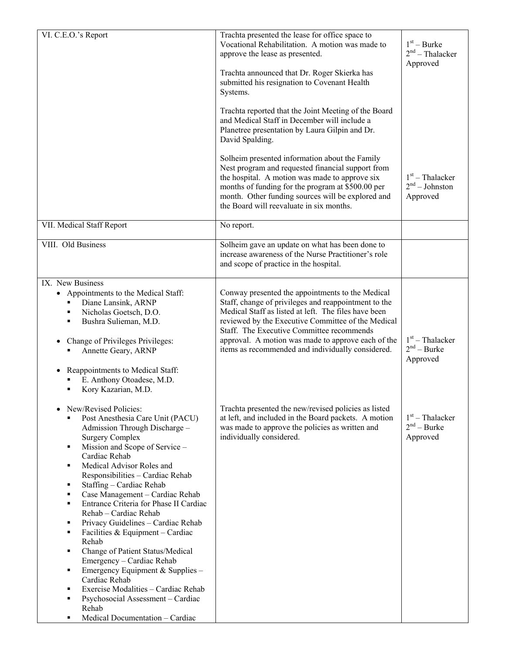| VI. C.E.O.'s Report                                                                                                                                                                                                                                                                                                                                                                                                                                                                                                                                                                                                                                                                                                                                                               | Trachta presented the lease for office space to<br>Vocational Rehabilitation. A motion was made to<br>approve the lease as presented.<br>Trachta announced that Dr. Roger Skierka has<br>submitted his resignation to Covenant Health<br>Systems.<br>Trachta reported that the Joint Meeting of the Board<br>and Medical Staff in December will include a<br>Planetree presentation by Laura Gilpin and Dr.<br>David Spalding.<br>Solheim presented information about the Family<br>Nest program and requested financial support from<br>the hospital. A motion was made to approve six<br>months of funding for the program at \$500.00 per<br>month. Other funding sources will be explored and<br>the Board will reevaluate in six months. | $1st - Burke$<br>$2nd$ – Thalacker<br>Approved<br>$1st$ – Thalacker<br>$2nd - Johnston$<br>Approved |
|-----------------------------------------------------------------------------------------------------------------------------------------------------------------------------------------------------------------------------------------------------------------------------------------------------------------------------------------------------------------------------------------------------------------------------------------------------------------------------------------------------------------------------------------------------------------------------------------------------------------------------------------------------------------------------------------------------------------------------------------------------------------------------------|-----------------------------------------------------------------------------------------------------------------------------------------------------------------------------------------------------------------------------------------------------------------------------------------------------------------------------------------------------------------------------------------------------------------------------------------------------------------------------------------------------------------------------------------------------------------------------------------------------------------------------------------------------------------------------------------------------------------------------------------------|-----------------------------------------------------------------------------------------------------|
| VII. Medical Staff Report                                                                                                                                                                                                                                                                                                                                                                                                                                                                                                                                                                                                                                                                                                                                                         | No report.                                                                                                                                                                                                                                                                                                                                                                                                                                                                                                                                                                                                                                                                                                                                    |                                                                                                     |
| VIII. Old Business                                                                                                                                                                                                                                                                                                                                                                                                                                                                                                                                                                                                                                                                                                                                                                | Solheim gave an update on what has been done to<br>increase awareness of the Nurse Practitioner's role<br>and scope of practice in the hospital.                                                                                                                                                                                                                                                                                                                                                                                                                                                                                                                                                                                              |                                                                                                     |
| IX. New Business<br>• Appointments to the Medical Staff:<br>Diane Lansink, ARNP<br>Nicholas Goetsch, D.O.<br>٠<br>Bushra Sulieman, M.D.<br>Change of Privileges Privileges:<br>Annette Geary, ARNP<br>Reappointments to Medical Staff:<br>E. Anthony Otoadese, M.D.<br>Kory Kazarian, M.D.<br>٠                                                                                                                                                                                                                                                                                                                                                                                                                                                                                   | Conway presented the appointments to the Medical<br>Staff, change of privileges and reappointment to the<br>Medical Staff as listed at left. The files have been<br>reviewed by the Executive Committee of the Medical<br>Staff. The Executive Committee recommends<br>approval. A motion was made to approve each of the<br>items as recommended and individually considered.                                                                                                                                                                                                                                                                                                                                                                | $1st$ – Thalacker<br>$2nd - Burke$<br>Approved                                                      |
| New/Revised Policies:<br>٠<br>Post Anesthesia Care Unit (PACU)<br>٠<br>Admission Through Discharge -<br><b>Surgery Complex</b><br>Mission and Scope of Service -<br>٠<br>Cardiac Rehab<br>Medical Advisor Roles and<br>٠<br>Responsibilities - Cardiac Rehab<br>Staffing - Cardiac Rehab<br>٠<br>Case Management - Cardiac Rehab<br>٠<br>Entrance Criteria for Phase II Cardiac<br>٠<br>Rehab - Cardiac Rehab<br>Privacy Guidelines - Cardiac Rehab<br>٠<br>Facilities & Equipment - Cardiac<br>٠<br>Rehab<br>Change of Patient Status/Medical<br>٠<br>Emergency - Cardiac Rehab<br>Emergency Equipment & Supplies -<br>٠<br>Cardiac Rehab<br>Exercise Modalities - Cardiac Rehab<br>٠<br>Psychosocial Assessment - Cardiac<br>٠<br>Rehab<br>Medical Documentation - Cardiac<br>٠ | Trachta presented the new/revised policies as listed<br>at left, and included in the Board packets. A motion<br>was made to approve the policies as written and<br>individually considered.                                                                                                                                                                                                                                                                                                                                                                                                                                                                                                                                                   | $1st$ – Thalacker<br>$2nd - Burke$<br>Approved                                                      |